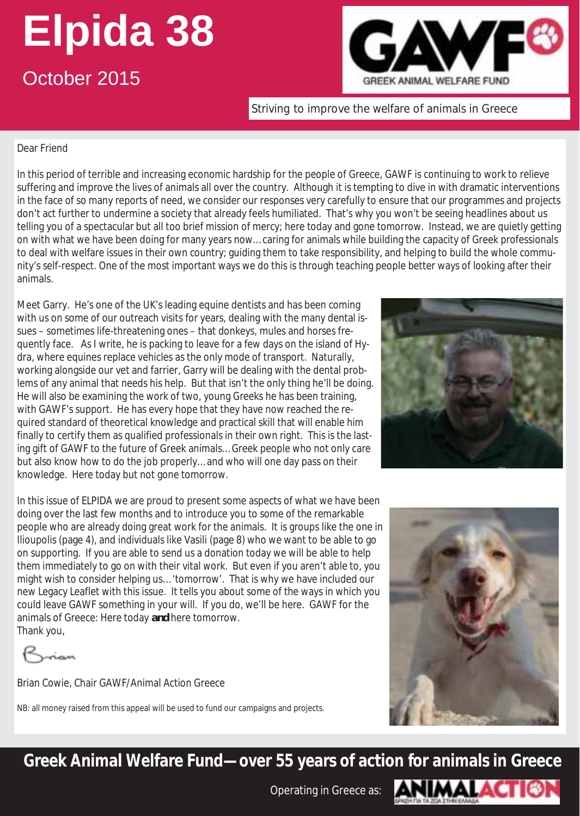# **Elpida 38**

# October 2015



Striving to improve the welfare of animals in Greece

#### Dear Friend

In this period of terrible and increasing economic hardship for the people of Greece, GAWF is continuing to work to relieve suffering and improve the lives of animals all over the country. Although it is tempting to dive in with dramatic interventions in the face of so many reports of need, we consider our responses very carefully to ensure that our programmes and projects don't act further to undermine a society that already feels humiliated. That's why you won't be seeing headlines about us telling you of a spectacular but all too brief mission of mercy; here today and gone tomorrow. Instead, we are quietly getting on with what we have been doing for many years now… caring for animals while building the capacity of Greek professionals to deal with welfare issues in their own country; guiding them to take responsibility, and helping to build the whole community's self-respect. One of the most important ways we do this is through teaching people better ways of looking after their animals.

Meet Garry. He's one of the UK's leading equine dentists and has been coming with us on some of our outreach visits for years, dealing with the many dental issues – sometimes life-threatening ones – that donkeys, mules and horses frequently face. As I write, he is packing to leave for a few days on the island of Hydra, where equines replace vehicles as the only mode of transport. Naturally, working alongside our vet and farrier, Garry will be dealing with the dental problems of any animal that needs his help. But that isn't the only thing he'll be doing. He will also be examining the work of two, young Greeks he has been training, with GAWF's support. He has every hope that they have now reached the required standard of theoretical knowledge and practical skill that will enable him finally to certify them as qualified professionals in their own right. This is the lasting gift of GAWF to the future of Greek animals… Greek people who not only care but also know how to do the job properly… and who will one day pass on their knowledge. Here today but not gone tomorrow.



In this issue of ELPIDA we are proud to present some aspects of what we have been doing over the last few months and to introduce you to some of the remarkable people who are already doing great work for the animals. It is groups like the one in Ilioupolis (page 4), and individuals like Vasili (page 8) who we want to be able to go on supporting. If you are able to send us a donation today we will be able to help them immediately to go on with their vital work. But even if you aren't able to, you might wish to consider helping us… 'tomorrow'. That is why we have included our new Legacy Leaflet with this issue. It tells you about some of the ways in which you could leave GAWF something in your will. If you do, we'll be here. GAWF for the animals of Greece: Here today *and* here tomorrow. Thank you,

nan

Brian Cowie, Chair GAWF/Animal Action Greece

NB: all money raised from this appeal will be used to fund our campaigns and projects.



**Greek Animal Welfare Fund—over 55 years of action for animals in Greece** 

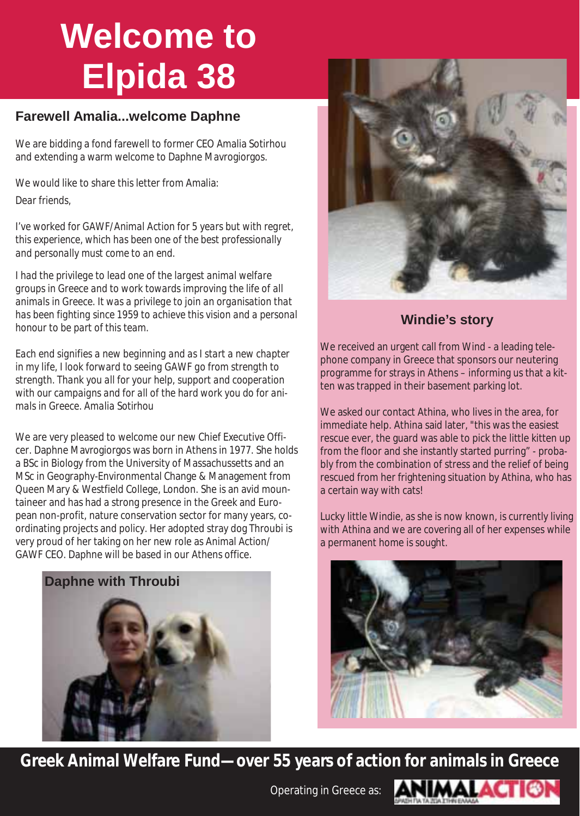# **Welcome to Elpida 38**

### **Farewell Amalia...welcome Daphne**

We are bidding a fond farewell to former CEO Amalia Sotirhou and extending a warm welcome to Daphne Mavrogiorgos.

We would like to share this letter from Amalia:

*Dear friends,* 

*I've worked for GAWF/Animal Action for 5 years but with regret, this experience, which has been one of the best professionally and personally must come to an end.* 

*I had the privilege to lead one of the largest animal welfare groups in Greece and to work towards improving the life of all animals in Greece. It was a privilege to join an organisation that has been fighting since 1959 to achieve this vision and a personal honour to be part of this team.* 

*Each end signifies a new beginning and as I start a new chapter in my life, I look forward to seeing GAWF go from strength to strength. Thank you all for your help, support and cooperation with our campaigns and for all of the hard work you do for animals in Greece. Amalia Sotirhou* 

We are very pleased to welcome our new Chief Executive Officer. Daphne Mavrogiorgos was born in Athens in 1977. She holds a BSc in Biology from the University of Massachussetts and an MSc in Geography-Environmental Change & Management from Queen Mary & Westfield College, London. She is an avid mountaineer and has had a strong presence in the Greek and European non-profit, nature conservation sector for many years, coordinating projects and policy. Her adopted stray dog Throubi is very proud of her taking on her new role as Animal Action/ GAWF CEO. Daphne will be based in our Athens office.





### **Windie's story**

We received an urgent call from Wind - a leading telephone company in Greece that sponsors our neutering programme for strays in Athens – informing us that a kitten was trapped in their basement parking lot.

We asked our contact Athina, who lives in the area, for immediate help. Athina said later, "this was the easiest rescue ever, the guard was able to pick the little kitten up from the floor and she instantly started purring" - probably from the combination of stress and the relief of being rescued from her frightening situation by Athina, who has a certain way with cats!

Lucky little Windie, as she is now known, is currently living with Athina and we are covering all of her expenses while a permanent home is sought.



**Greek Animal Welfare Fund—over 55 years of action for animals in Greece** 

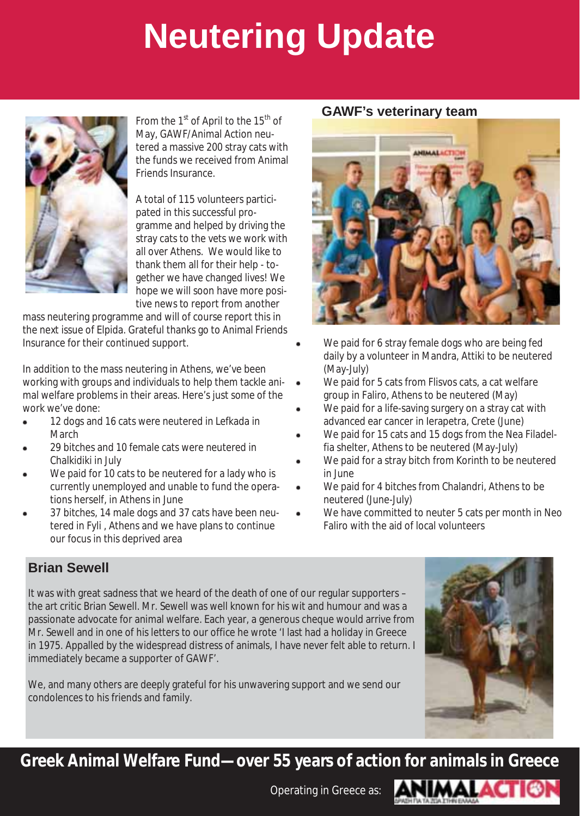# **Neutering Update**



From the  $1<sup>st</sup>$  of April to the  $15<sup>th</sup>$  of May, GAWF/Animal Action neutered a massive 200 stray cats with the funds we received from Animal Friends Insurance.

A total of 115 volunteers participated in this successful programme and helped by driving the stray cats to the vets we work with all over Athens. We would like to thank them all for their help - together we have changed lives! We hope we will soon have more positive news to report from another

mass neutering programme and will of course report this in the next issue of Elpida. Grateful thanks go to Animal Friends Insurance for their continued support.

In addition to the mass neutering in Athens, we've been working with groups and individuals to help them tackle animal welfare problems in their areas. Here's just some of the work we've done:

- 12 dogs and 16 cats were neutered in Lefkada in **March**
- 29 bitches and 10 female cats were neutered in Chalkidiki in July
- We paid for 10 cats to be neutered for a lady who is currently unemployed and unable to fund the operations herself, in Athens in June
- 37 bitches, 14 male dogs and 37 cats have been neutered in Fyli , Athens and we have plans to continue our focus in this deprived area

#### **GAWF's veterinary team**



- We paid for 6 stray female dogs who are being fed daily by a volunteer in Mandra, Attiki to be neutered (May-July)
- We paid for 5 cats from Flisvos cats, a cat welfare group in Faliro, Athens to be neutered (May)
- We paid for a life-saving surgery on a stray cat with advanced ear cancer in Ierapetra, Crete (June)
- We paid for 15 cats and 15 dogs from the Nea Filadelfia shelter, Athens to be neutered (May-July)
- We paid for a stray bitch from Korinth to be neutered in June
- We paid for 4 bitches from Chalandri, Athens to be neutered (June-July)
- We have committed to neuter 5 cats per month in Neo Faliro with the aid of local volunteers

### **Brian Sewell**

It was with great sadness that we heard of the death of one of our regular supporters – the art critic Brian Sewell. Mr. Sewell was well known for his wit and humour and was a passionate advocate for animal welfare. Each year, a generous cheque would arrive from Mr. Sewell and in one of his letters to our office he wrote 'I last had a holiday in Greece in 1975. Appalled by the widespread distress of animals, I have never felt able to return. I immediately became a supporter of GAWF'.

We, and many others are deeply grateful for his unwavering support and we send our condolences to his friends and family.

**Greek Animal Welfare Fund—over 55 years of action for animals in Greece** 

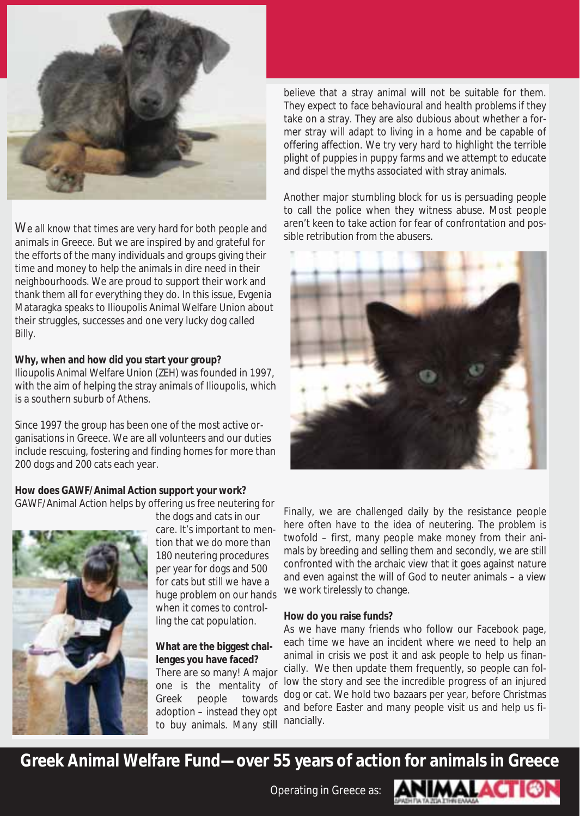

We all know that times are very hard for both people and animals in Greece. But we are inspired by and grateful for the efforts of the many individuals and groups giving their time and money to help the animals in dire need in their neighbourhoods. We are proud to support their work and thank them all for everything they do. In this issue, Evgenia Mataragka speaks to Ilioupolis Animal Welfare Union about their struggles, successes and one very lucky dog called Billy.

#### **Why, when and how did you start your group?**

Ilioupolis Animal Welfare Union (ZEH) was founded in 1997, with the aim of helping the stray animals of Ilioupolis, which is a southern suburb of Athens.

Since 1997 the group has been one of the most active organisations in Greece. We are all volunteers and our duties include rescuing, fostering and finding homes for more than 200 dogs and 200 cats each year.

#### **How does GAWF/Animal Action support your work?**

GAWF/Animal Action helps by offering us free neutering for



the dogs and cats in our

care. It's important to mention that we do more than 180 neutering procedures per year for dogs and 500 for cats but still we have a huge problem on our hands when it comes to controlling the cat population.

#### **What are the biggest challenges you have faced?**

There are so many! A major one is the mentality of Greek people towards adoption – instead they opt to buy animals. Many still believe that a stray animal will not be suitable for them. They expect to face behavioural and health problems if they take on a stray. They are also dubious about whether a former stray will adapt to living in a home and be capable of offering affection. We try very hard to highlight the terrible plight of puppies in puppy farms and we attempt to educate and dispel the myths associated with stray animals.

Another major stumbling block for us is persuading people to call the police when they witness abuse. Most people aren't keen to take action for fear of confrontation and possible retribution from the abusers.



Finally, we are challenged daily by the resistance people here often have to the idea of neutering. The problem is twofold – first, many people make money from their animals by breeding and selling them and secondly, we are still confronted with the archaic view that it goes against nature and even against the will of God to neuter animals – a view we work tirelessly to change.

#### **How do you raise funds?**

As we have many friends who follow our Facebook page, each time we have an incident where we need to help an animal in crisis we post it and ask people to help us financially. We then update them frequently, so people can follow the story and see the incredible progress of an injured dog or cat. We hold two bazaars per year, before Christmas and before Easter and many people visit us and help us financially.

**Greek Animal Welfare Fund—over 55 years of action for animals in Greece** 

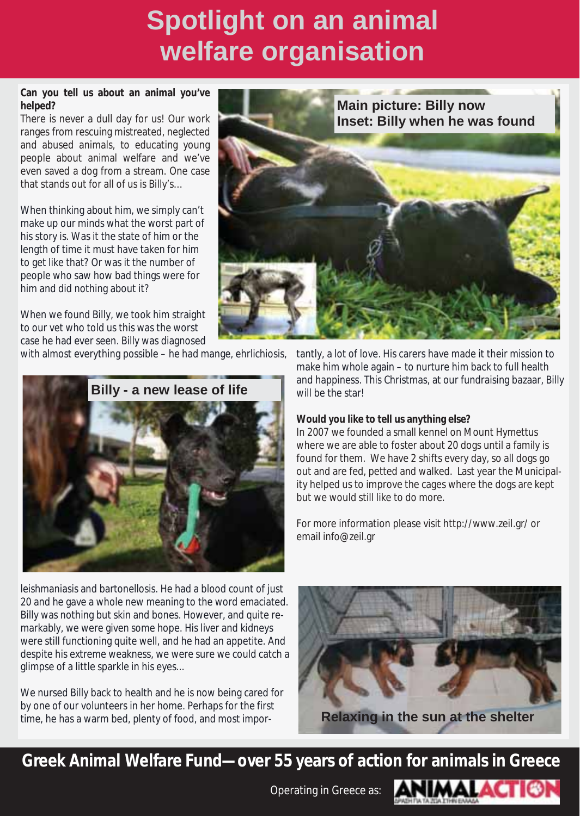# **Spotlight on an animal welfare organisation**

#### **Can you tell us about an animal you've helped?**

There is never a dull day for us! Our work ranges from rescuing mistreated, neglected and abused animals, to educating young people about animal welfare and we've even saved a dog from a stream. One case that stands out for all of us is Billy's…

When thinking about him, we simply can't make up our minds what the worst part of his story is. Was it the state of him or the length of time it must have taken for him to get like that? Or was it the number of people who saw how bad things were for him and did nothing about it?

When we found Billy, we took him straight to our vet who told us this was the worst case he had ever seen. Billy was diagnosed

with almost everything possible – he had mange, ehrlichiosis,



**Main picture: Billy now Inset: Billy when he was found** 

> tantly, a lot of love. His carers have made it their mission to make him whole again – to nurture him back to full health and happiness. This Christmas, at our fundraising bazaar, Billy will be the star!

#### **Would you like to tell us anything else?**

In 2007 we founded a small kennel on Mount Hymettus where we are able to foster about 20 dogs until a family is found for them. We have 2 shifts every day, so all dogs go out and are fed, petted and walked. Last year the Municipality helped us to improve the cages where the dogs are kept but we would still like to do more.

For more information please visit http://www.zeil.gr/ or email info@zeil.gr

leishmaniasis and bartonellosis. He had a blood count of just 20 and he gave a whole new meaning to the word emaciated. Billy was nothing but skin and bones. However, and quite remarkably, we were given some hope. His liver and kidneys were still functioning quite well, and he had an appetite. And despite his extreme weakness, we were sure we could catch a glimpse of a little sparkle in his eyes...

We nursed Billy back to health and he is now being cared for by one of our volunteers in her home. Perhaps for the first time, he has a warm bed, plenty of food, and most impor-



**Greek Animal Welfare Fund—over 55 years of action for animals in Greece** 

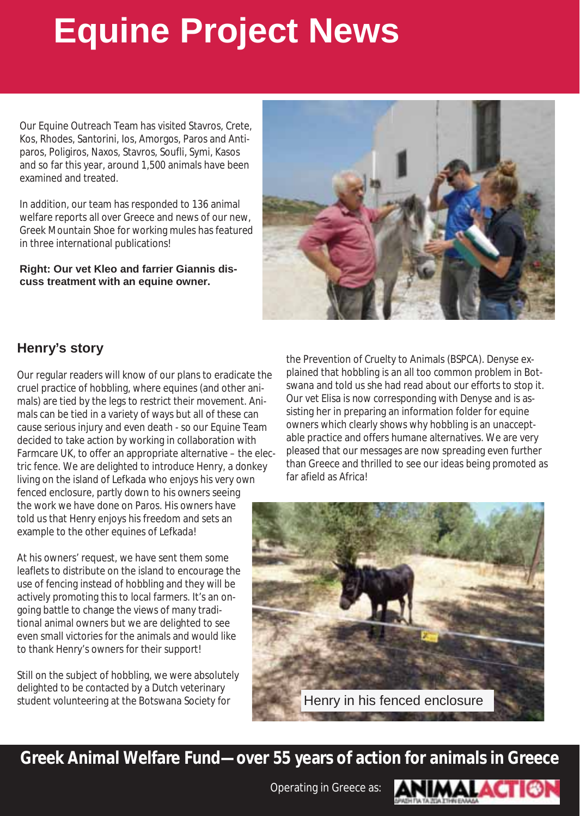# **Equine Project News**

Our Equine Outreach Team has visited Stavros, Crete, Kos, Rhodes, Santorini, Ios, Amorgos, Paros and Antiparos, Poligiros, Naxos, Stavros, Soufli, Symi, Kasos and so far this year, around 1,500 animals have been examined and treated.

In addition, our team has responded to 136 animal welfare reports all over Greece and news of our new, Greek Mountain Shoe for working mules has featured in three international publications!

**Right: Our vet Kleo and farrier Giannis discuss treatment with an equine owner.** 



## **Henry's story**

Our regular readers will know of our plans to eradicate the cruel practice of hobbling, where equines (and other animals) are tied by the legs to restrict their movement. Animals can be tied in a variety of ways but all of these can cause serious injury and even death - so our Equine Team decided to take action by working in collaboration with Farmcare UK, to offer an appropriate alternative – the electric fence. We are delighted to introduce Henry, a donkey living on the island of Lefkada who enjoys his very own fenced enclosure, partly down to his owners seeing the work we have done on Paros. His owners have told us that Henry enjoys his freedom and sets an example to the other equines of Lefkada!

At his owners' request, we have sent them some leaflets to distribute on the island to encourage the use of fencing instead of hobbling and they will be actively promoting this to local farmers. It's an ongoing battle to change the views of many traditional animal owners but we are delighted to see even small victories for the animals and would like to thank Henry's owners for their support!

Still on the subject of hobbling, we were absolutely delighted to be contacted by a Dutch veterinary student volunteering at the Botswana Society for

the Prevention of Cruelty to Animals (BSPCA). Denyse explained that hobbling is an all too common problem in Botswana and told us she had read about our efforts to stop it. Our vet Elisa is now corresponding with Denyse and is assisting her in preparing an information folder for equine owners which clearly shows why hobbling is an unacceptable practice and offers humane alternatives. We are very pleased that our messages are now spreading even further than Greece and thrilled to see our ideas being promoted as far afield as Africa!



**Greek Animal Welfare Fund—over 55 years of action for animals in Greece** 

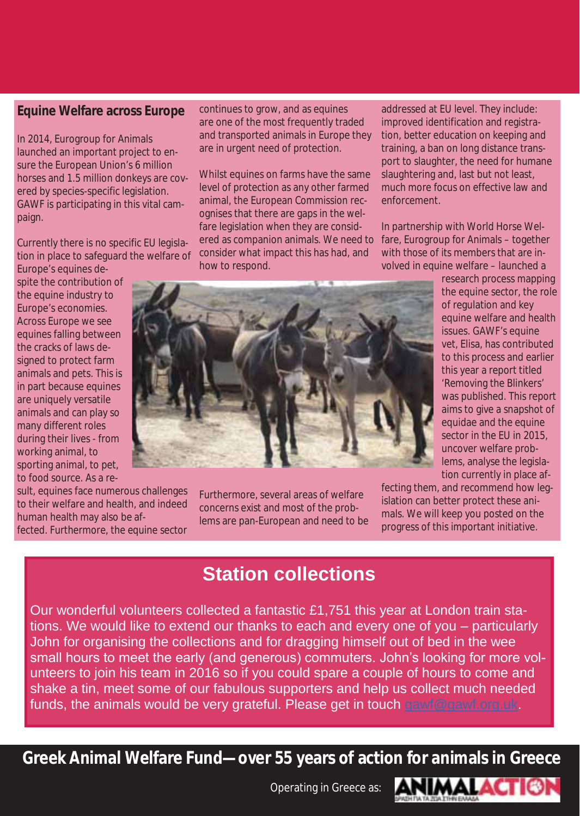#### **Equine Welfare across Europe**

In 2014, Eurogroup for Animals launched an important project to ensure the European Union's 6 million horses and 1.5 million donkeys are covered by species-specific legislation. GAWF is participating in this vital campaign.

Currently there is no specific EU legislation in place to safeguard the welfare of

Europe's equines despite the contribution of the equine industry to Europe's economies. Across Europe we see equines falling between the cracks of laws designed to protect farm animals and pets. This is in part because equines are uniquely versatile animals and can play so many different roles during their lives - from working animal, to sporting animal, to pet, to food source. As a re-

sult, equines face numerous challenges to their welfare and health, and indeed human health may also be affected. Furthermore, the equine sector

continues to grow, and as equines are one of the most frequently traded and transported animals in Europe they are in urgent need of protection.

Whilst equines on farms have the same level of protection as any other farmed animal, the European Commission recognises that there are gaps in the welfare legislation when they are considered as companion animals. We need to consider what impact this has had, and how to respond.

addressed at EU level. They include: improved identification and registration, better education on keeping and training, a ban on long distance transport to slaughter, the need for humane slaughtering and, last but not least, much more focus on effective law and enforcement.

In partnership with World Horse Welfare, Eurogroup for Animals – together with those of its members that are involved in equine welfare – launched a



Furthermore, several areas of welfare concerns exist and most of the problems are pan-European and need to be research process mapping the equine sector, the role of regulation and key equine welfare and health issues. GAWF's equine vet, Elisa, has contributed to this process and earlier this year a report titled 'Removing the Blinkers' was published. This report aims to give a snapshot of equidae and the equine sector in the EU in 2015, uncover welfare problems, analyse the legislation currently in place af-

fecting them, and recommend how legislation can better protect these animals. We will keep you posted on the progress of this important initiative.

## **Station collections**

Our wonderful volunteers collected a fantastic £1,751 this year at London train stations. We would like to extend our thanks to each and every one of you – particularly John for organising the collections and for dragging himself out of bed in the wee small hours to meet the early (and generous) commuters. John's looking for more volunteers to join his team in 2016 so if you could spare a couple of hours to come and shake a tin, meet some of our fabulous supporters and help us collect much needed funds, the animals would be very grateful. Please get in touch gawf@gawf.org.uk.

**Greek Animal Welfare Fund—over 55 years of action for animals in Greece** 

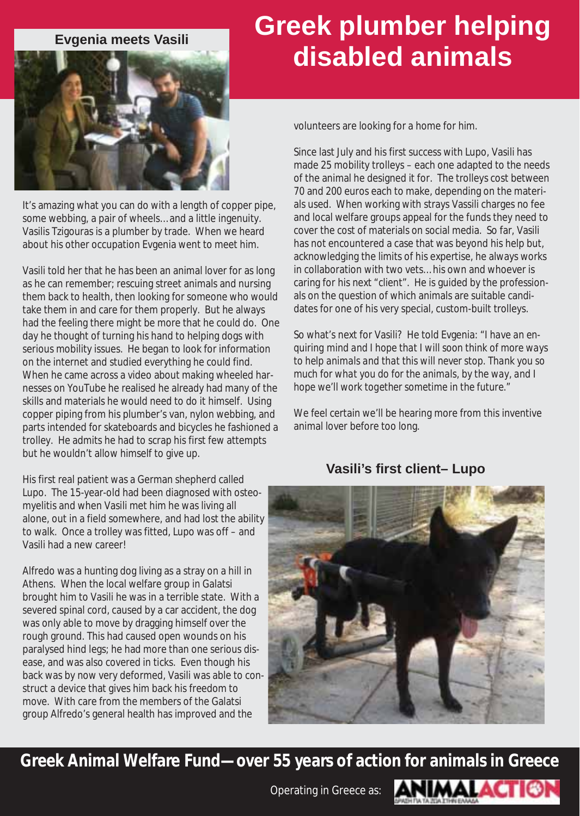

It's amazing what you can do with a length of copper pipe, some webbing, a pair of wheels… and a little ingenuity. Vasilis Tzigouras is a plumber by trade. When we heard about his other occupation Evgenia went to meet him.

Vasili told her that he has been an animal lover for as long as he can remember; rescuing street animals and nursing them back to health, then looking for someone who would take them in and care for them properly. But he always had the feeling there might be more that he could do. One day he thought of turning his hand to helping dogs with serious mobility issues. He began to look for information on the internet and studied everything he could find. When he came across a video about making wheeled harnesses on YouTube he realised he already had many of the skills and materials he would need to do it himself. Using copper piping from his plumber's van, nylon webbing, and parts intended for skateboards and bicycles he fashioned a trolley. He admits he had to scrap his first few attempts but he wouldn't allow himself to give up.

His first real patient was a German shepherd called Lupo. The 15-year-old had been diagnosed with osteomyelitis and when Vasili met him he was living all alone, out in a field somewhere, and had lost the ability to walk. Once a trolley was fitted, Lupo was off – and Vasili had a new career!

Alfredo was a hunting dog living as a stray on a hill in Athens. When the local welfare group in Galatsi brought him to Vasili he was in a terrible state. With a severed spinal cord, caused by a car accident, the dog was only able to move by dragging himself over the rough ground. This had caused open wounds on his paralysed hind legs; he had more than one serious disease, and was also covered in ticks. Even though his back was by now very deformed, Vasili was able to construct a device that gives him back his freedom to move. With care from the members of the Galatsi group Alfredo's general health has improved and the

# **Evgenia meets Vasili Creek plumber helping disabled animals**

volunteers are looking for a home for him.

Since last July and his first success with Lupo, Vasili has made 25 mobility trolleys – each one adapted to the needs of the animal he designed it for. The trolleys cost between 70 and 200 euros each to make, depending on the materials used. When working with strays Vassili charges no fee and local welfare groups appeal for the funds they need to cover the cost of materials on social media. So far, Vasili has not encountered a case that was beyond his help but, acknowledging the limits of his expertise, he always works in collaboration with two vets… his own and whoever is caring for his next "client". He is guided by the professionals on the question of which animals are suitable candidates for one of his very special, custom-built trolleys.

So what's next for Vasili? He told Evgenia: *"I have an enquiring mind and I hope that I will soon think of more ways to help animals and that this will never stop. Thank you so much for what you do for the animals, by the way, and I hope we'll work together sometime in the future."* 

We feel certain we'll be hearing more from this inventive animal lover before too long.

#### **Vasili's first client– Lupo**



**Greek Animal Welfare Fund—over 55 years of action for animals in Greece** 

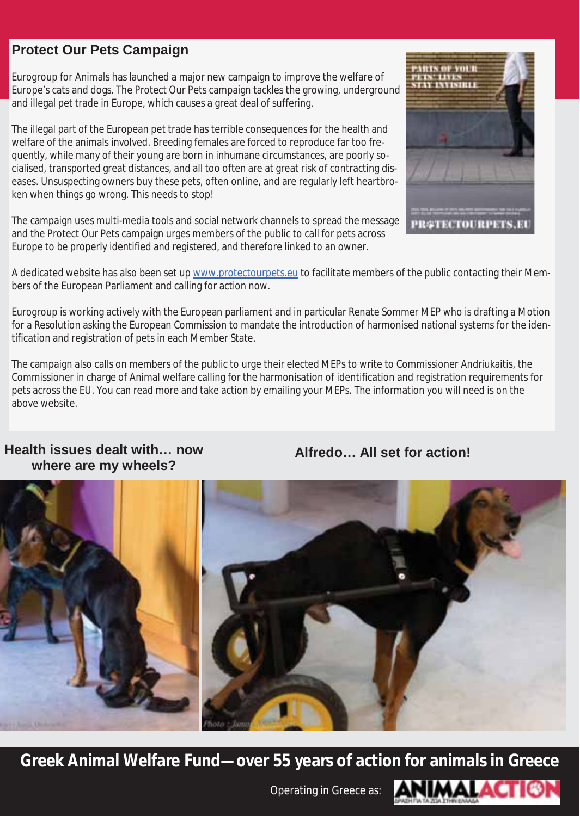### **Protect Our Pets Campaign**

Eurogroup for Animals has launched a major new campaign to improve the welfare of Europe's cats and dogs. The Protect Our Pets campaign tackles the growing, underground and illegal pet trade in Europe, which causes a great deal of suffering.

The illegal part of the European pet trade has terrible consequences for the health and welfare of the animals involved. Breeding females are forced to reproduce far too frequently, while many of their young are born in inhumane circumstances, are poorly socialised, transported great distances, and all too often are at great risk of contracting diseases. Unsuspecting owners buy these pets, often online, and are regularly left heartbroken when things go wrong. This needs to stop!

The campaign uses multi-media tools and social network channels to spread the message and the Protect Our Pets campaign urges members of the public to call for pets across Europe to be properly identified and registered, and therefore linked to an owner.



Eurogroup is working actively with the European parliament and in particular Renate Sommer MEP who is drafting a Motion for a Resolution asking the European Commission to mandate the introduction of harmonised national systems for the identification and registration of pets in each Member State.

The campaign also calls on members of the public to urge their elected MEPs to write to Commissioner Andriukaitis, the Commissioner in charge of Animal welfare calling for the harmonisation of identification and registration requirements for pets across the EU. You can read more and take action by emailing your MEPs. The information you will need is on the above website.

#### **Health issues dealt with… now where are my wheels?**

**Alfredo… All set for action!**



**Greek Animal Welfare Fund—over 55 years of action for animals in Greece** 



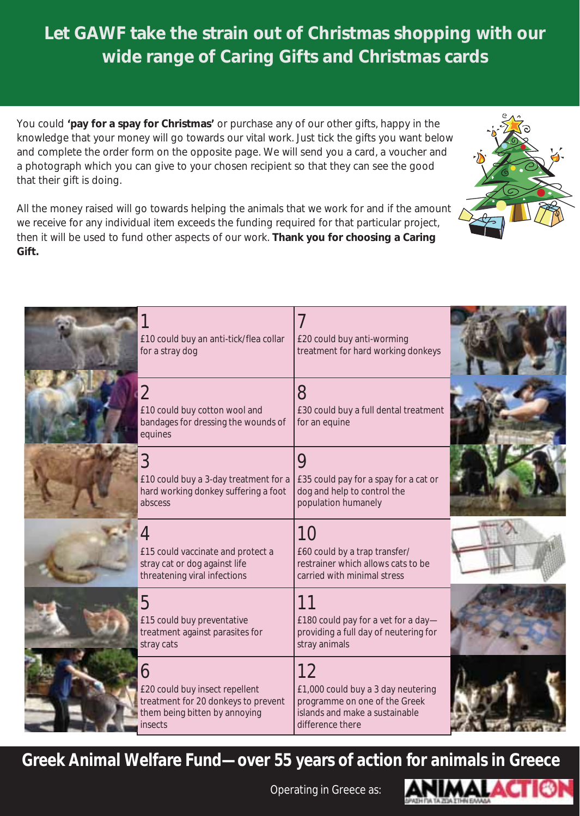## **Let GAWF take the strain out of Christmas shopping with our wide range of Caring Gifts and Christmas cards**

You could **'pay for a spay for Christmas'** or purchase any of our other gifts, happy in the knowledge that your money will go towards our vital work. Just tick the gifts you want below and complete the order form on the opposite page. We will send you a card, a voucher and a photograph which you can give to your chosen recipient so that they can see the good that their gift is doing.

All the money raised will go towards helping the animals that we work for and if the amount we receive for any individual item exceeds the funding required for that particular project, then it will be used to fund other aspects of our work. **Thank you for choosing a Caring Gift.** 



**Greek Animal Welfare Fund—over 55 years of action for animals in Greece** 



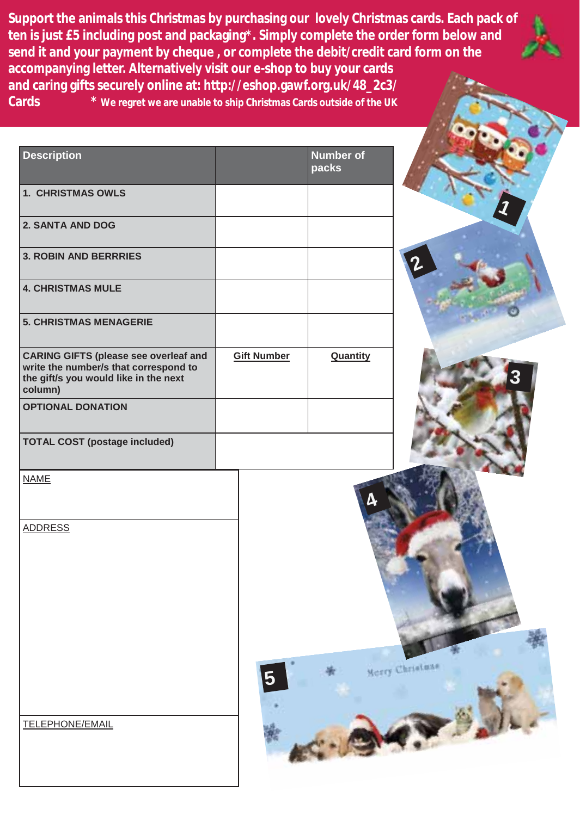**Support the animals this Christmas by purchasing our lovely Christmas cards. Each pack of ten is just £5 including post and packaging\*. Simply complete the order form below and send it and your payment by cheque , or complete the debit/credit card form on the accompanying letter. Alternatively visit our e-shop to buy your cards and caring gifts securely online at: http://eshop.gawf.org.uk/48\_2c3/ Cards \* We regret we are unable to ship Christmas Cards outside of the UK**

| <b>Description</b>                                                                                                                        |                    | <b>Number of</b><br>packs |                 |
|-------------------------------------------------------------------------------------------------------------------------------------------|--------------------|---------------------------|-----------------|
| <b>1. CHRISTMAS OWLS</b>                                                                                                                  |                    |                           |                 |
| <b>2. SANTA AND DOG</b>                                                                                                                   |                    |                           |                 |
| <b>3. ROBIN AND BERRRIES</b>                                                                                                              |                    |                           |                 |
| <b>4. CHRISTMAS MULE</b>                                                                                                                  |                    |                           |                 |
| <b>5. CHRISTMAS MENAGERIE</b>                                                                                                             |                    |                           |                 |
| <b>CARING GIFTS (please see overleaf and</b><br>write the number/s that correspond to<br>the gift/s you would like in the next<br>column) | <b>Gift Number</b> | Quantity                  |                 |
| <b>OPTIONAL DONATION</b>                                                                                                                  |                    |                           |                 |
| <b>TOTAL COST (postage included)</b>                                                                                                      |                    |                           |                 |
| <b>NAME</b>                                                                                                                               |                    |                           |                 |
| <b>ADDRESS</b>                                                                                                                            |                    |                           | Merry Christmas |
| TELEPHONE/EMAIL                                                                                                                           |                    |                           |                 |

**3**

**1**